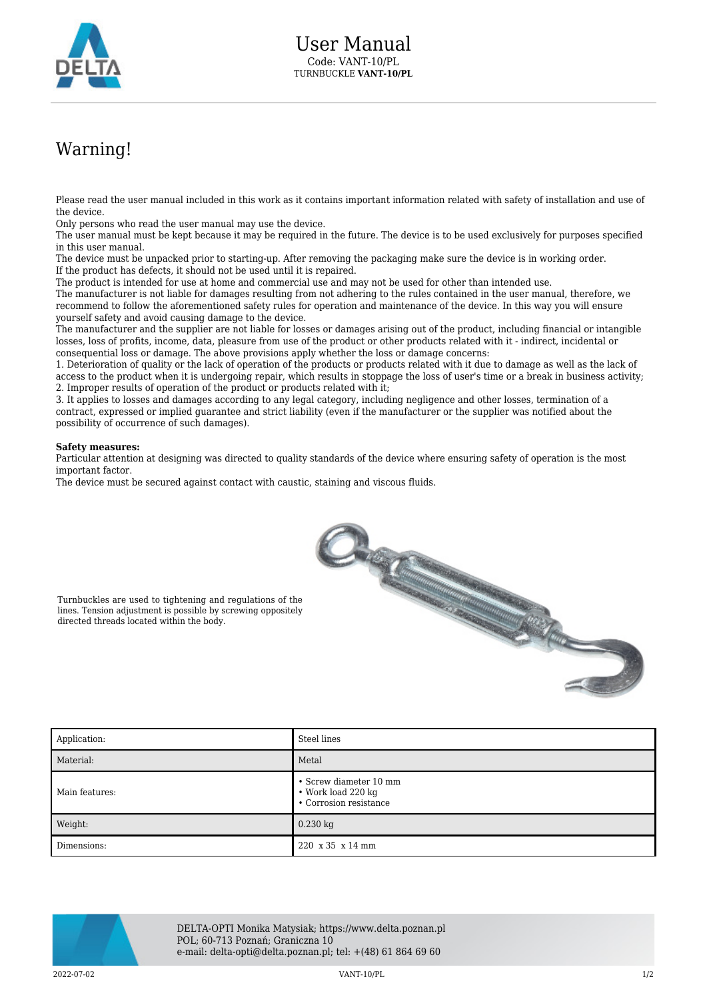

## Warning!

Please read the user manual included in this work as it contains important information related with safety of installation and use of the device.

Only persons who read the user manual may use the device.

The user manual must be kept because it may be required in the future. The device is to be used exclusively for purposes specified in this user manual.

The device must be unpacked prior to starting-up. After removing the packaging make sure the device is in working order. If the product has defects, it should not be used until it is repaired.

The product is intended for use at home and commercial use and may not be used for other than intended use.

The manufacturer is not liable for damages resulting from not adhering to the rules contained in the user manual, therefore, we recommend to follow the aforementioned safety rules for operation and maintenance of the device. In this way you will ensure yourself safety and avoid causing damage to the device.

The manufacturer and the supplier are not liable for losses or damages arising out of the product, including financial or intangible losses, loss of profits, income, data, pleasure from use of the product or other products related with it - indirect, incidental or consequential loss or damage. The above provisions apply whether the loss or damage concerns:

1. Deterioration of quality or the lack of operation of the products or products related with it due to damage as well as the lack of access to the product when it is undergoing repair, which results in stoppage the loss of user's time or a break in business activity; 2. Improper results of operation of the product or products related with it;

3. It applies to losses and damages according to any legal category, including negligence and other losses, termination of a contract, expressed or implied guarantee and strict liability (even if the manufacturer or the supplier was notified about the possibility of occurrence of such damages).

## **Safety measures:**

Particular attention at designing was directed to quality standards of the device where ensuring safety of operation is the most important factor.

The device must be secured against contact with caustic, staining and viscous fluids.



Turnbuckles are used to tightening and regulations of the lines. Tension adjustment is possible by screwing oppositely directed threads located within the body.

| Application:   | Steel lines                                                                    |
|----------------|--------------------------------------------------------------------------------|
| Material:      | Metal                                                                          |
| Main features: | • Screw diameter 10 mm<br>$\bullet$ Work load 220 kg<br>• Corrosion resistance |
| Weight:        | $0.230$ kg                                                                     |
| Dimensions:    | 220 x 35 x 14 mm                                                               |



DELTA-OPTI Monika Matysiak; https://www.delta.poznan.pl POL; 60-713 Poznań; Graniczna 10 e-mail: delta-opti@delta.poznan.pl; tel: +(48) 61 864 69 60

2022-07-02 VANT-10/PL 1/2